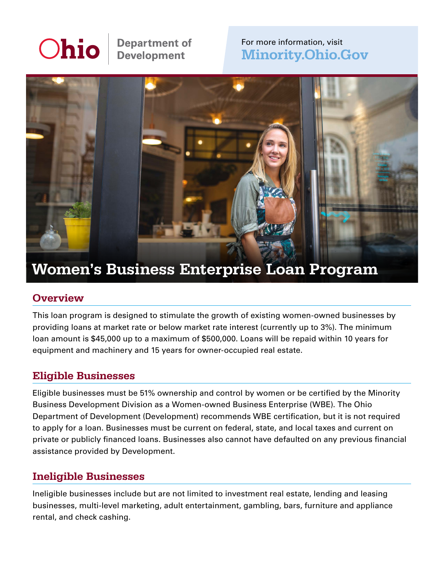# **Ohio**

**Department of<br>Development** 

#### For more information, visit [Minority.Ohio.Gov](http://Minority.Ohio.Gov)



## Women's Business Enterprise Loan Program

#### **Overview**

This loan program is designed to stimulate the growth of existing women-owned businesses by providing loans at market rate or below market rate interest (currently up to 3%). The minimum loan amount is \$45,000 up to a maximum of \$500,000. Loans will be repaid within 10 years for equipment and machinery and 15 years for owner-occupied real estate.

#### Eligible Businesses

Eligible businesses must be 51% ownership and control by women or be certified by the Minority Business Development Division as a Women-owned Business Enterprise (WBE). The Ohio Department of Development (Development) recommends WBE certification, but it is not required to apply for a loan. Businesses must be current on federal, state, and local taxes and current on private or publicly financed loans. Businesses also cannot have defaulted on any previous financial assistance provided by Development.

#### Ineligible Businesses

Ineligible businesses include but are not limited to investment real estate, lending and leasing businesses, multi-level marketing, adult entertainment, gambling, bars, furniture and appliance rental, and check cashing.